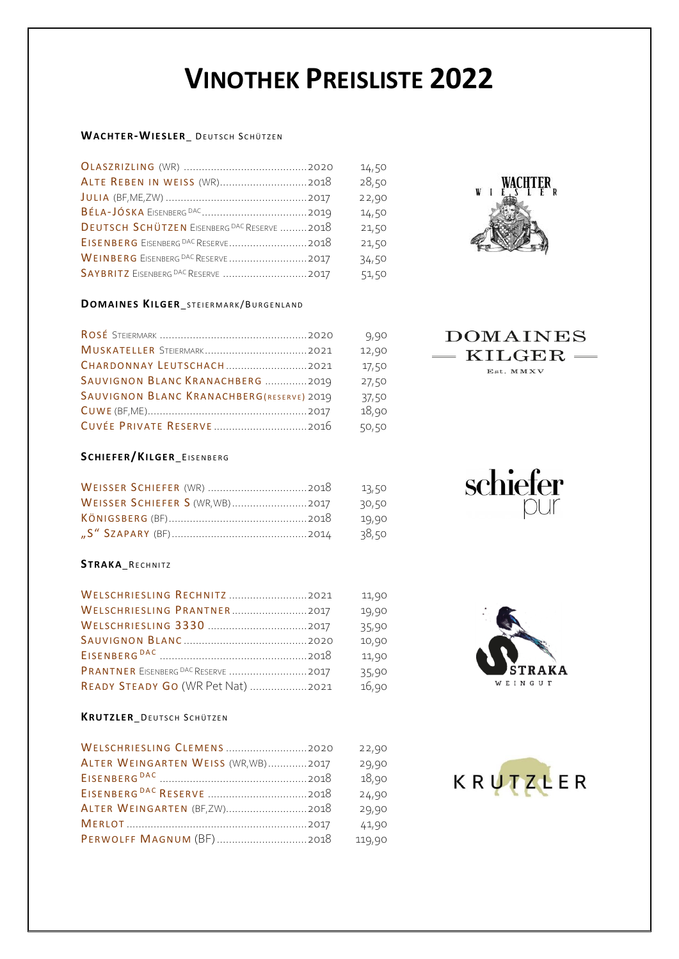# **VINOTHEK PREISLISTE 2022**

# **WACHTER-WIESLER** DEUTSCH SCHÜTZEN

|                                                    | 14,50 |
|----------------------------------------------------|-------|
|                                                    | 28,50 |
|                                                    | 22,90 |
|                                                    | 14,50 |
| <b>DEUTSCH SCHÜTZEN EISENBERG DAC RESERVE 2018</b> | 21,50 |
|                                                    | 21,50 |
| WEINBERG EISENBERG DAC RESERVE 2017                | 34,50 |
| SAYBRITZ EISENBERG DAC RESERVE 2017                | 51,50 |

#### **DOMAINES KILGER\_STEIERMARK/BURGENLAND**

|                                                  | 9,90  |
|--------------------------------------------------|-------|
|                                                  | 12,90 |
| CHARDONNAY LEUTSCHACH2021                        | 17,50 |
| SAUVIGNON BLANC KRANACHBERG 2019                 | 27,50 |
| <b>SAUVIGNON BLANC KRANACHBERG(RESERVE) 2019</b> | 37,50 |
|                                                  | 18,90 |
|                                                  | 50,50 |

# **SCHIEFE R/KIL GER**\_EI S E N B E R G

|                                 | 13,50 |
|---------------------------------|-------|
| WEISSER SCHIEFER S (WR, WB)2017 | 30,50 |
|                                 | 19,90 |
|                                 | 38,50 |

# $STRAKA_RECHNITZ$

| WELSCHRIESLING RECHNITZ 2021      | 11,90 |
|-----------------------------------|-------|
| WELSCHRIESLING PRANTNER2017       | 19,90 |
|                                   | 35,90 |
|                                   | 10,90 |
|                                   | 11,90 |
|                                   | 35,90 |
| READY STEADY GO (WR Pet Nat) 2021 | 16,90 |

# **KRUTZLER** DEUTSCH SCHÜTZEN

| WELSCHRIESLING CLEMENS 2020         | 22,90  |
|-------------------------------------|--------|
| ALTER WEINGARTEN WEISS (WR, WB)2017 | 29,90  |
|                                     | 18,90  |
|                                     | 24,90  |
|                                     | 29,90  |
|                                     | 41,90  |
|                                     | 119,90 |



# **DOMAINES** KILGER-

Est. MMXV

schiefer



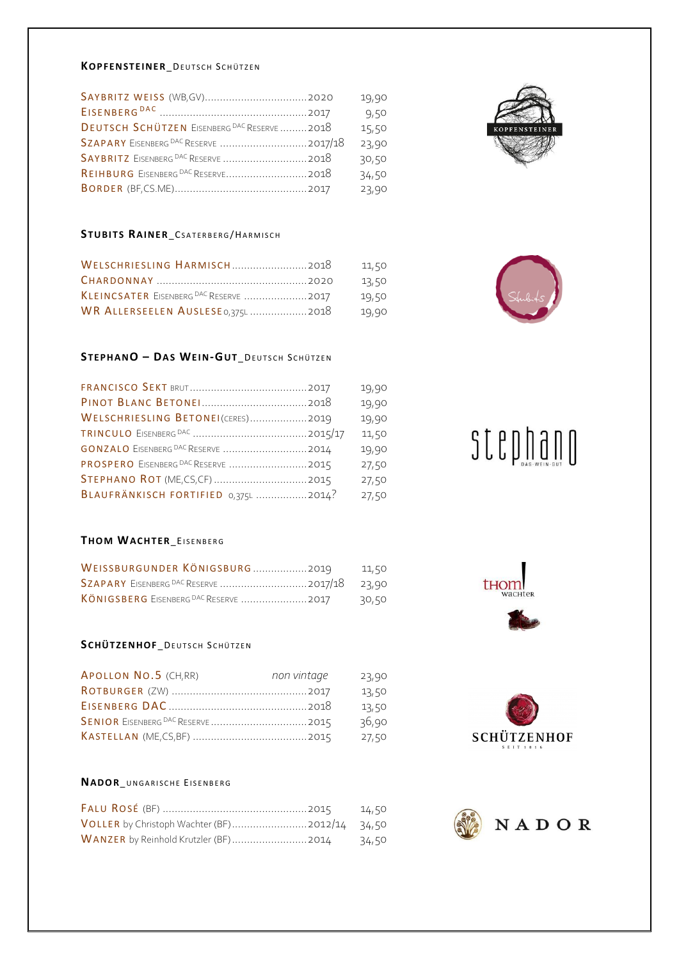#### **KOPFENSTEINER\_DEUTSCH SCHÜTZEN**

|                                             | 19,90 |
|---------------------------------------------|-------|
|                                             | 9,50  |
| DEUTSCH SCHÜTZEN EISENBERG DAC RESERVE 2018 | 15,50 |
|                                             | 23,90 |
|                                             | 30,50 |
|                                             | 34,50 |
|                                             | 23,90 |
|                                             |       |

# STUBITS RAINER\_CSATERBERG/HARMISCH

|                                        | 11,50 |
|----------------------------------------|-------|
|                                        | 13,50 |
| KLEINCSATER EISENBERG DAC RESERVE 2017 | 19,50 |
| WR ALLERSEELEN AUSLESE 0,375L  2018    | 19,90 |

# **STEPH ANO – DA S WEI N-GUT**\_ DE U T S C H SC H Ü T Z E N

|                                      | 19,90 |
|--------------------------------------|-------|
|                                      | 19,90 |
| WELSCHRIESLING BETONEI(CERES)2019    | 19,90 |
|                                      | 11,50 |
| GONZALO EISENBERG DAC RESERVE 2014   | 19,90 |
|                                      | 27,50 |
| STEPHANO ROT (ME, CS, CF)  2015      | 27,50 |
| BLAUFRÄNKISCH FORTIFIED 0,375L 2014? | 27,50 |

# **THOM WACH TER**\_EI S E N B E R G

| WEISSBURGUNDER KÖNIGSBURG  2019 11,50 |  |
|---------------------------------------|--|
|                                       |  |
|                                       |  |

# **SCHÜTZENHOF\_DEUTSCH SCHÜTZEN**

| APOLLON NO.5 (CH,RR) | non vintage | 23,90 |
|----------------------|-------------|-------|
|                      |             | 13,50 |
|                      |             | 13,50 |
|                      |             | 36,90 |
|                      |             | 27,50 |

# **NADO R**\_U N G A R I S C H E EI S E N B E R G

| VOLLER by Christoph Wachter (BF)2012/14 34,50 |  |
|-----------------------------------------------|--|
|                                               |  |





# $\texttt{SLED} \lim_{\text{D}} \lim_{\text{D}} \lim_{\text{D}} \lim_{\text{D}} \lim_{\text{D}}$